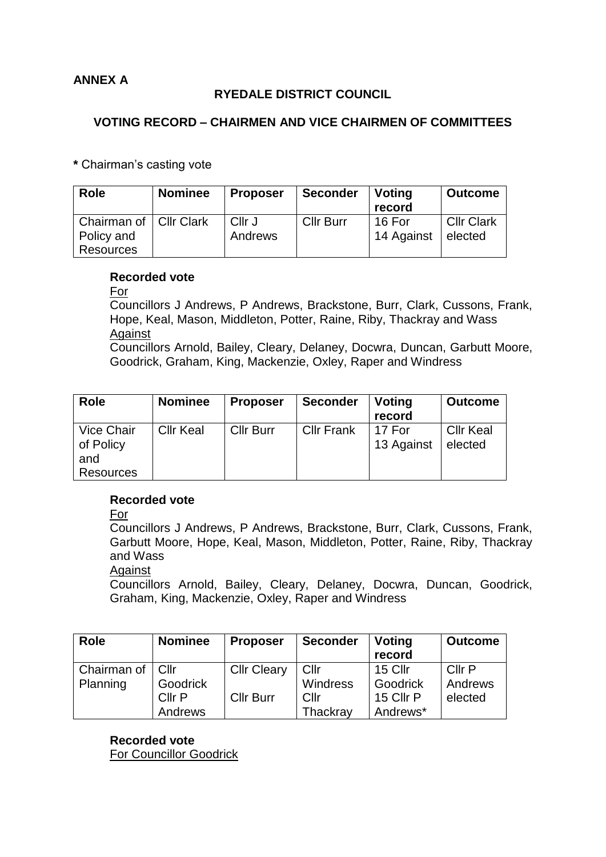# **ANNEX A**

## **RYEDALE DISTRICT COUNCIL**

## **VOTING RECORD – CHAIRMEN AND VICE CHAIRMEN OF COMMITTEES**

**\*** Chairman's casting vote

| <b>Role</b>                            | <b>Nominee</b> | <b>Proposer</b>   | <b>Seconder</b>  | <b>Voting</b><br>record | <b>Outcome</b>               |
|----------------------------------------|----------------|-------------------|------------------|-------------------------|------------------------------|
| Chairman of   Cllr Clark<br>Policy and |                | Cllr J<br>Andrews | <b>Cllr Burr</b> | 16 For<br>14 Against    | <b>Cllr Clark</b><br>elected |
| Resources                              |                |                   |                  |                         |                              |

#### **Recorded vote**

For

Councillors J Andrews, P Andrews, Brackstone, Burr, Clark, Cussons, Frank, Hope, Keal, Mason, Middleton, Potter, Raine, Riby, Thackray and Wass Against

Councillors Arnold, Bailey, Cleary, Delaney, Docwra, Duncan, Garbutt Moore, Goodrick, Graham, King, Mackenzie, Oxley, Raper and Windress

| <b>Role</b>                                        | <b>Nominee</b>   | <b>Proposer</b>  | <b>Seconder</b>   | Voting<br>record     | <b>Outcome</b>              |
|----------------------------------------------------|------------------|------------------|-------------------|----------------------|-----------------------------|
| <b>Vice Chair</b><br>of Policy<br>and<br>Resources | <b>Cllr Keal</b> | <b>Cllr Burr</b> | <b>Cllr Frank</b> | 17 For<br>13 Against | <b>Cllr Keal</b><br>elected |

### **Recorded vote**

For

Councillors J Andrews, P Andrews, Brackstone, Burr, Clark, Cussons, Frank, Garbutt Moore, Hope, Keal, Mason, Middleton, Potter, Raine, Riby, Thackray and Wass

#### **Against**

Councillors Arnold, Bailey, Cleary, Delaney, Docwra, Duncan, Goodrick, Graham, King, Mackenzie, Oxley, Raper and Windress

| <b>Role</b>        | <b>Nominee</b> | <b>Proposer</b>    | <b>Seconder</b> | <b>Voting</b><br>record | <b>Outcome</b> |
|--------------------|----------------|--------------------|-----------------|-------------------------|----------------|
| Chairman of   Cllr |                | <b>Cllr Cleary</b> | Cllr            | 15 Cllr                 | Cllr P         |
| Planning           | Goodrick       |                    | Windress        | Goodrick                | Andrews        |
|                    | Cllr P         | <b>Cllr Burr</b>   | Cllr            | 15 Cllr P               | elected        |
|                    | Andrews        |                    | Thackray        | Andrews*                |                |

**Recorded vote** For Councillor Goodrick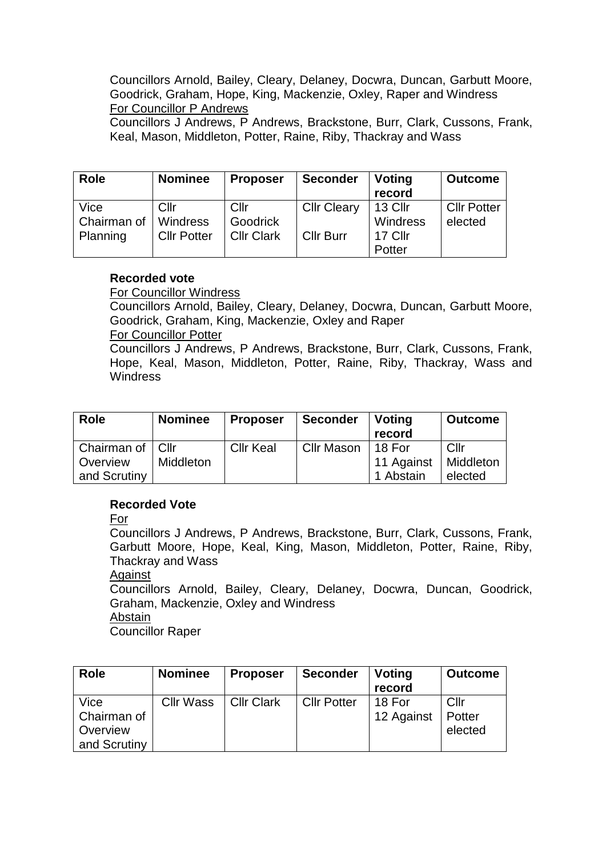Councillors Arnold, Bailey, Cleary, Delaney, Docwra, Duncan, Garbutt Moore, Goodrick, Graham, Hope, King, Mackenzie, Oxley, Raper and Windress For Councillor P Andrews Councillors J Andrews, P Andrews, Brackstone, Burr, Clark, Cussons, Frank,

Keal, Mason, Middleton, Potter, Raine, Riby, Thackray and Wass

| <b>Role</b> | <b>Nominee</b>     | <b>Proposer</b>   | <b>Seconder</b>    | Voting<br>record | <b>Outcome</b>     |
|-------------|--------------------|-------------------|--------------------|------------------|--------------------|
| Vice        | Cllr               | Cllr              | <b>Cllr Cleary</b> | $\vert$ 13 Cllr  | <b>Cllr Potter</b> |
| Chairman of | Windress           | Goodrick          |                    | Windress         | elected            |
| Planning    | <b>Cllr Potter</b> | <b>Cllr Clark</b> | Cllr Burr          | 17 Cllr          |                    |
|             |                    |                   |                    | Potter           |                    |

### **Recorded vote**

For Councillor Windress

Councillors Arnold, Bailey, Cleary, Delaney, Docwra, Duncan, Garbutt Moore, Goodrick, Graham, King, Mackenzie, Oxley and Raper For Councillor Potter

Councillors J Andrews, P Andrews, Brackstone, Burr, Clark, Cussons, Frank, Hope, Keal, Mason, Middleton, Potter, Raine, Riby, Thackray, Wass and **Windress** 

| <b>Role</b>        | <b>Nominee</b> | <b>Proposer</b>  | <b>Seconder</b> | <b>Voting</b><br>record | <b>Outcome</b> |
|--------------------|----------------|------------------|-----------------|-------------------------|----------------|
| Chairman of   Cllr |                | <b>Cllr Keal</b> | Cllr Mason      | 18 For                  | Cllr           |
| Overview           | Middleton      |                  |                 | 11 Against              | Middleton      |
| and Scrutiny       |                |                  |                 | 1 Abstain               | elected        |

### **Recorded Vote**

For

Councillors J Andrews, P Andrews, Brackstone, Burr, Clark, Cussons, Frank, Garbutt Moore, Hope, Keal, King, Mason, Middleton, Potter, Raine, Riby, Thackray and Wass

Against

Councillors Arnold, Bailey, Cleary, Delaney, Docwra, Duncan, Goodrick, Graham, Mackenzie, Oxley and Windress

Abstain

Councillor Raper

| <b>Role</b>                                     | <b>Nominee</b>   | <b>Proposer</b>   | <b>Seconder</b>    | Voting<br>record     | <b>Outcome</b>            |
|-------------------------------------------------|------------------|-------------------|--------------------|----------------------|---------------------------|
| Vice<br>Chairman of<br>Overview<br>and Scrutiny | <b>Cllr Wass</b> | <b>Cllr Clark</b> | <b>Cllr Potter</b> | 18 For<br>12 Against | Cllr<br>Potter<br>elected |